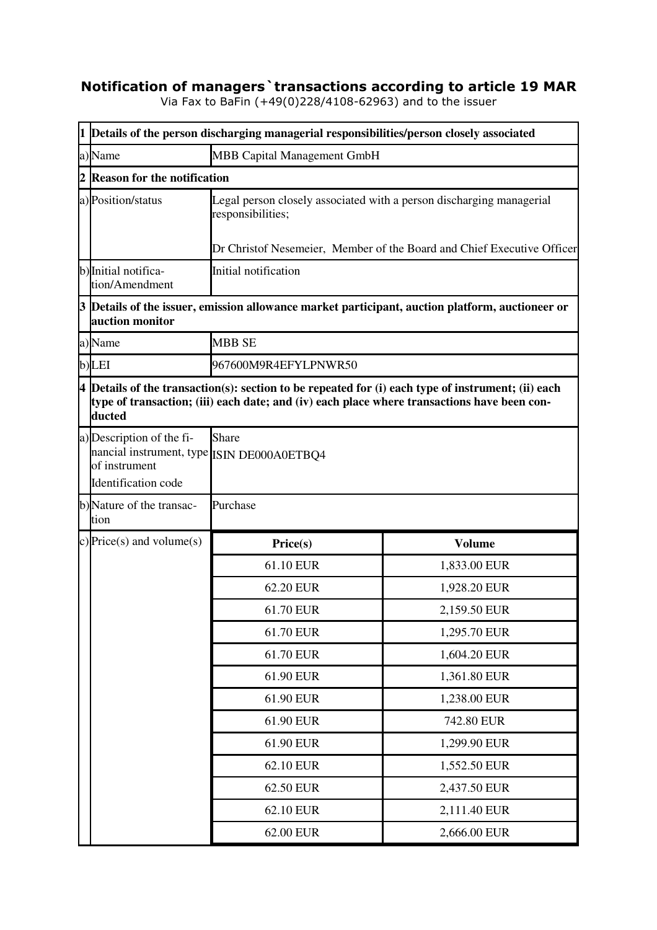## **Notification of managers`transactions according to article 19 MAR**

Via Fax to BaFin (+49(0)228/4108-62963) and to the issuer

|                | 1 Details of the person discharging managerial responsibilities/person closely associated                       |                                                                                             |                                                                                                           |
|----------------|-----------------------------------------------------------------------------------------------------------------|---------------------------------------------------------------------------------------------|-----------------------------------------------------------------------------------------------------------|
|                | a) Name                                                                                                         | MBB Capital Management GmbH                                                                 |                                                                                                           |
| $\overline{2}$ | <b>Reason for the notification</b>                                                                              |                                                                                             |                                                                                                           |
|                | a) Position/status                                                                                              | Legal person closely associated with a person discharging managerial<br>responsibilities;   |                                                                                                           |
|                |                                                                                                                 |                                                                                             | Dr Christof Nesemeier, Member of the Board and Chief Executive Officer                                    |
|                | b) Initial notifica-<br>tion/Amendment                                                                          | Initial notification                                                                        |                                                                                                           |
|                | auction monitor                                                                                                 |                                                                                             | $3$ $\vert$ Details of the issuer, emission allowance market participant, auction platform, auctioneer or |
|                | a)Name                                                                                                          | <b>MBB SE</b>                                                                               |                                                                                                           |
|                | b)LEI                                                                                                           | 967600M9R4EFYLPNWR50                                                                        |                                                                                                           |
|                | ducted                                                                                                          | type of transaction; (iii) each date; and (iv) each place where transactions have been con- | $4$ Details of the transaction(s): section to be repeated for (i) each type of instrument; (ii) each      |
|                | a) Description of the fi-<br>nancial instrument, type ISIN DE000A0ETBQ4<br>of instrument<br>Identification code | <b>Share</b>                                                                                |                                                                                                           |
|                | b)Nature of the transac-<br>tion                                                                                | Purchase                                                                                    |                                                                                                           |
|                | c) Price(s) and volume(s)                                                                                       | Price(s)                                                                                    | <b>Volume</b>                                                                                             |
|                |                                                                                                                 | 61.10 EUR                                                                                   | 1,833.00 EUR                                                                                              |
|                |                                                                                                                 | 62.20 EUR                                                                                   | 1,928.20 EUR                                                                                              |
|                |                                                                                                                 | 61.70 EUR                                                                                   | 2,159.50 EUR                                                                                              |
|                |                                                                                                                 | 61.70 EUR                                                                                   | 1,295.70 EUR                                                                                              |
|                |                                                                                                                 | 61.70 EUR                                                                                   | 1,604.20 EUR                                                                                              |
|                |                                                                                                                 | 61.90 EUR                                                                                   | 1,361.80 EUR                                                                                              |
|                |                                                                                                                 | 61.90 EUR                                                                                   | 1,238.00 EUR                                                                                              |
|                |                                                                                                                 | 61.90 EUR                                                                                   | 742.80 EUR                                                                                                |
|                |                                                                                                                 | 61.90 EUR                                                                                   | 1,299.90 EUR                                                                                              |
|                |                                                                                                                 | 62.10 EUR                                                                                   | 1,552.50 EUR                                                                                              |
|                |                                                                                                                 | 62.50 EUR                                                                                   | 2,437.50 EUR                                                                                              |
|                |                                                                                                                 | 62.10 EUR                                                                                   | 2,111.40 EUR                                                                                              |
|                |                                                                                                                 | 62.00 EUR                                                                                   | 2,666.00 EUR                                                                                              |